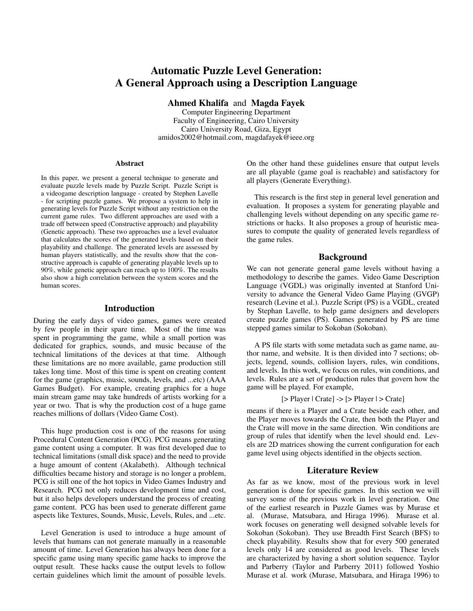# Automatic Puzzle Level Generation: A General Approach using a Description Language

Ahmed Khalifa and Magda Fayek

Computer Engineering Department Faculty of Engineering, Cairo University Cairo University Road, Giza, Egypt amidos2002@hotmail.com, magdafayek@ieee.org

#### Abstract

In this paper, we present a general technique to generate and evaluate puzzle levels made by Puzzle Script. Puzzle Script is a videogame description language - created by Stephen Lavelle - for scripting puzzle games. We propose a system to help in generating levels for Puzzle Script without any restriction on the current game rules. Two different approaches are used with a trade off between speed (Constructive approach) and playability (Genetic approach). These two approaches use a level evaluator that calculates the scores of the generated levels based on their playability and challenge. The generated levels are assessed by human players statistically, and the results show that the constructive approach is capable of generating playable levels up to 90%, while genetic approach can reach up to 100%. The results also show a high correlation between the system scores and the human scores.

#### Introduction

During the early days of video games, games were created by few people in their spare time. Most of the time was spent in programming the game, while a small portion was dedicated for graphics, sounds, and music because of the technical limitations of the devices at that time. Although these limitations are no more available, game production still takes long time. Most of this time is spent on creating content for the game (graphics, music, sounds, levels, and ...etc) [\(AAA](#page-6-0) [Games Budget\)](#page-6-0). For example, creating graphics for a huge main stream game may take hundreds of artists working for a year or two. That is why the production cost of a huge game reaches millions of dollars [\(Video Game Cost\)](#page-7-0).

This huge production cost is one of the reasons for using Procedural Content Generation (PCG). PCG means generating game content using a computer. It was first developed due to technical limitations (small disk space) and the need to provide a huge amount of content [\(Akalabeth\)](#page-6-1). Although technical difficulties became history and storage is no longer a problem, PCG is still one of the hot topics in Video Games Industry and Research. PCG not only reduces development time and cost, but it also helps developers understand the process of creating game content. PCG has been used to generate different game aspects like Textures, Sounds, Music, Levels, Rules, and ...etc.

Level Generation is used to introduce a huge amount of levels that humans can not generate manually in a reasonable amount of time. Level Generation has always been done for a specific game using many specific game hacks to improve the output result. These hacks cause the output levels to follow certain guidelines which limit the amount of possible levels. On the other hand these guidelines ensure that output levels are all playable (game goal is reachable) and satisfactory for all players [\(Generate Everything\)](#page-6-2).

This research is the first step in general level generation and evaluation. It proposes a system for generating playable and challenging levels without depending on any specific game restrictions or hacks. It also proposes a group of heuristic measures to compute the quality of generated levels regardless of the game rules.

# Background

We can not generate general game levels without having a methodology to describe the games. Video Game Description Language (VGDL) was originally invented at Stanford University to advance the General Video Game Playing (GVGP) research [\(Levine et al.\)](#page-6-3). Puzzle Script (PS) is a VGDL, created by Stephan Lavelle, to help game designers and developers create puzzle games [\(PS\)](#page-7-1). Games generated by PS are time stepped games similar to Sokoban [\(Sokoban\)](#page-7-2).

A PS file starts with some metadata such as game name, author name, and website. It is then divided into 7 sections; objects, legend, sounds, collision layers, rules, win conditions, and levels. In this work, we focus on rules, win conditions, and levels. Rules are a set of production rules that govern how the game will be played. For example,

[> Player | Crate] -> [> Player | > Crate]

means if there is a Player and a Crate beside each other, and the Player moves towards the Crate, then both the Player and the Crate will move in the same direction. Win conditions are group of rules that identify when the level should end. Levels are 2D matrices showing the current configuration for each game level using objects identified in the objects section.

# Literature Review

As far as we know, most of the previous work in level generation is done for specific games. In this section we will survey some of the previous work in level generation. One of the earliest research in Puzzle Games was by Murase et al. [\(Murase, Matsubara, and Hiraga 1996\)](#page-7-3). Murase et al. work focuses on generating well designed solvable levels for Sokoban [\(Sokoban\)](#page-7-2). They use Breadth First Search (BFS) to check playability. Results show that for every 500 generated levels only 14 are considered as good levels. These levels are characterized by having a short solution sequence. Taylor and Parberry [\(Taylor and Parberry 2011\)](#page-7-4) followed Yoshio Murase et al. work [\(Murase, Matsubara, and Hiraga 1996\)](#page-7-3) to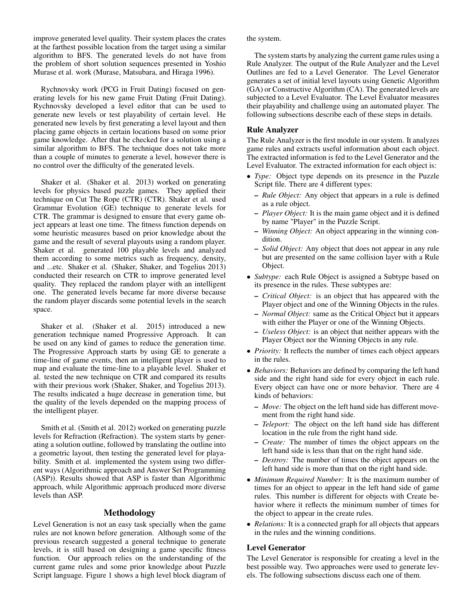improve generated level quality. Their system places the crates at the farthest possible location from the target using a similar algorithm to BFS. The generated levels do not have from the problem of short solution sequences presented in Yoshio Murase et al. work [\(Murase, Matsubara, and Hiraga 1996\)](#page-7-3).

Rychnovsky work [\(PCG in Fruit Dating\)](#page-7-5) focused on generating levels for his new game Fruit Dating [\(Fruit Dating\)](#page-6-4). Rychnovsky developed a level editor that can be used to generate new levels or test playability of certain level. He generated new levels by first generating a level layout and then placing game objects in certain locations based on some prior game knowledge. After that he checked for a solution using a similar algorithm to BFS. The technique does not take more than a couple of minutes to generate a level, however there is no control over the difficulty of the generated levels.

Shaker et al. [\(Shaker et al. 2013\)](#page-7-6) worked on generating levels for physics based puzzle games. They applied their technique on Cut The Rope (CTR) [\(CTR\)](#page-6-5). Shaker et al. used Grammar Evolution (GE) technique to generate levels for CTR. The grammar is designed to ensure that every game object appears at least one time. The fitness function depends on some heuristic measures based on prior knowledge about the game and the result of several playouts using a random player. Shaker et al. generated 100 playable levels and analyzed them according to some metrics such as frequency, density, and ...etc. Shaker et al. [\(Shaker, Shaker, and Togelius 2013\)](#page-7-7) conducted their research on CTR to improve generated level quality. They replaced the random player with an intelligent one. The generated levels became far more diverse because the random player discards some potential levels in the search space.

Shaker et al. [\(Shaker et al. 2015\)](#page-7-8) introduced a new generation technique named Progressive Approach. It can be used on any kind of games to reduce the generation time. The Progressive Approach starts by using GE to generate a time-line of game events, then an intelligent player is used to map and evaluate the time-line to a playable level. Shaker et al. tested the new technique on CTR and compared its results with their previous work [\(Shaker, Shaker, and Togelius 2013\)](#page-7-7). The results indicated a huge decrease in generation time, but the quality of the levels depended on the mapping process of the intelligent player.

Smith et al. [\(Smith et al. 2012\)](#page-7-9) worked on generating puzzle levels for Refraction [\(Refraction\)](#page-7-10). The system starts by generating a solution outline, followed by translating the outline into a geometric layout, then testing the generated level for playability. Smith et al. implemented the system using two different ways (Algorithmic approach and Answer Set Programming (ASP)). Results showed that ASP is faster than Algorithmic approach, while Algorithmic approach produced more diverse levels than ASP.

# Methodology

Level Generation is not an easy task specially when the game rules are not known before generation. Although some of the previous research suggested a general technique to generate levels, it is still based on designing a game specific fitness function. Our approach relies on the understanding of the current game rules and some prior knowledge about Puzzle Script language. Figure [1](#page-2-0) shows a high level block diagram of the system.

The system starts by analyzing the current game rules using a Rule Analyzer. The output of the Rule Analyzer and the Level Outlines are fed to a Level Generator. The Level Generator generates a set of initial level layouts using Genetic Algorithm (GA) or Constructive Algorithm (CA). The generated levels are subjected to a Level Evaluator. The Level Evaluator measures their playability and challenge using an automated player. The following subsections describe each of these steps in details.

## Rule Analyzer

The Rule Analyzer is the first module in our system. It analyzes game rules and extracts useful information about each object. The extracted information is fed to the Level Generator and the Level Evaluator. The extracted information for each object is:

- *Type:* Object type depends on its presence in the Puzzle Script file. There are 4 different types:
	- *Rule Object:* Any object that appears in a rule is defined as a rule object.
	- *Player Object:* It is the main game object and it is defined by name "Player" in the Puzzle Script.
	- *Winning Object:* An object appearing in the winning condition.
	- *Solid Object:* Any object that does not appear in any rule but are presented on the same collision layer with a Rule Object.
- *Subtype:* each Rule Object is assigned a Subtype based on its presence in the rules. These subtypes are:
	- *Critical Object:* is an object that has appeared with the Player object and one of the Winning Objects in the rules.
	- *Normal Object:* same as the Critical Object but it appears with either the Player or one of the Winning Objects.
	- *Useless Object:* is an object that neither appears with the Player Object nor the Winning Objects in any rule.
- *Priority:* It reflects the number of times each object appears in the rules.
- *Behaviors:* Behaviors are defined by comparing the left hand side and the right hand side for every object in each rule. Every object can have one or more behavior. There are 4 kinds of behaviors:
	- *Move:* The object on the left hand side has different movement from the right hand side.
	- *Teleport:* The object on the left hand side has different location in the rule from the right hand side.
	- *Create:* The number of times the object appears on the left hand side is less than that on the right hand side.
	- *Destroy:* The number of times the object appears on the left hand side is more than that on the right hand side.
- *Minimum Required Number:* It is the maximum number of times for an object to appear in the left hand side of game rules. This number is different for objects with Create behavior where it reflects the minimum number of times for the object to appear in the create rules.
- *Relations:* It is a connected graph for all objects that appears in the rules and the winning conditions.

### Level Generator

The Level Generator is responsible for creating a level in the best possible way. Two approaches were used to generate levels. The following subsections discuss each one of them.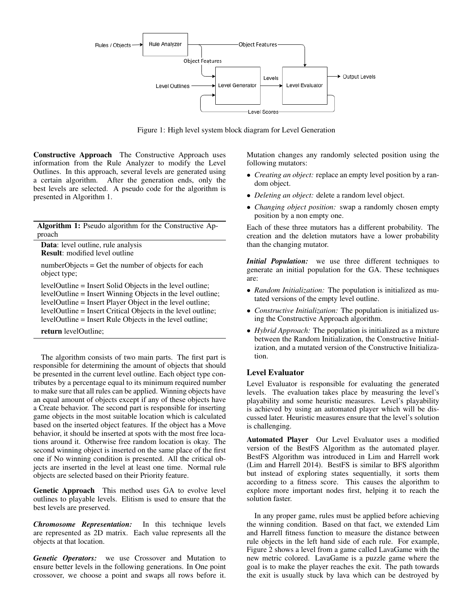

<span id="page-2-0"></span>Figure 1: High level system block diagram for Level Generation

Constructive Approach The Constructive Approach uses information from the Rule Analyzer to modify the Level Outlines. In this approach, several levels are generated using a certain algorithm. After the generation ends, only the best levels are selected. A pseudo code for the algorithm is presented in Algorithm [1.](#page-2-1)

Algorithm 1: Pseudo algorithm for the Constructive Approach

Data: level outline, rule analysis Result: modified level outline

numberObjects = Get the number of objects for each object type;

levelOutline = Insert Solid Objects in the level outline; levelOutline = Insert Winning Objects in the level outline; levelOutline = Insert Player Object in the level outline; levelOutline = Insert Critical Objects in the level outline; levelOutline = Insert Rule Objects in the level outline;

<span id="page-2-1"></span>return levelOutline;

The algorithm consists of two main parts. The first part is responsible for determining the amount of objects that should be presented in the current level outline. Each object type contributes by a percentage equal to its minimum required number to make sure that all rules can be applied. Winning objects have an equal amount of objects except if any of these objects have a Create behavior. The second part is responsible for inserting game objects in the most suitable location which is calculated based on the inserted object features. If the object has a Move behavior, it should be inserted at spots with the most free locations around it. Otherwise free random location is okay. The second winning object is inserted on the same place of the first one if No winning condition is presented. All the critical objects are inserted in the level at least one time. Normal rule objects are selected based on their Priority feature.

Genetic Approach This method uses GA to evolve level outlines to playable levels. Elitism is used to ensure that the best levels are preserved.

*Chromosome Representation:* In this technique levels are represented as 2D matrix. Each value represents all the objects at that location.

*Genetic Operators:* we use Crossover and Mutation to ensure better levels in the following generations. In One point crossover, we choose a point and swaps all rows before it.

Mutation changes any randomly selected position using the following mutators:

- *Creating an object:* replace an empty level position by a random object.
- *Deleting an object:* delete a random level object.
- *Changing object position:* swap a randomly chosen empty position by a non empty one.

Each of these three mutators has a different probability. The creation and the deletion mutators have a lower probability than the changing mutator.

*Initial Population:* we use three different techniques to generate an initial population for the GA. These techniques are:

- *Random Initialization:* The population is initialized as mutated versions of the empty level outline.
- *Constructive Initialization:* The population is initialized using the Constructive Approach algorithm.
- *Hybrid Approach:* The population is initialized as a mixture between the Random Initialization, the Constructive Initialization, and a mutated version of the Constructive Initialization.

### Level Evaluator

Level Evaluator is responsible for evaluating the generated levels. The evaluation takes place by measuring the level's playability and some heuristic measures. Level's playability is achieved by using an automated player which will be discussed later. Heuristic measures ensure that the level's solution is challenging.

Automated Player Our Level Evaluator uses a modified version of the BestFS Algorithm as the automated player. BestFS Algorithm was introduced in Lim and Harrell work [\(Lim and Harrell 2014\)](#page-7-11). BestFS is similar to BFS algorithm but instead of exploring states sequentially, it sorts them according to a fitness score. This causes the algorithm to explore more important nodes first, helping it to reach the solution faster.

In any proper game, rules must be applied before achieving the winning condition. Based on that fact, we extended Lim and Harrell fitness function to measure the distance between rule objects in the left hand side of each rule. For example, Figure [2](#page-3-0) shows a level from a game called LavaGame with the new metric colored. LavaGame is a puzzle game where the goal is to make the player reaches the exit. The path towards the exit is usually stuck by lava which can be destroyed by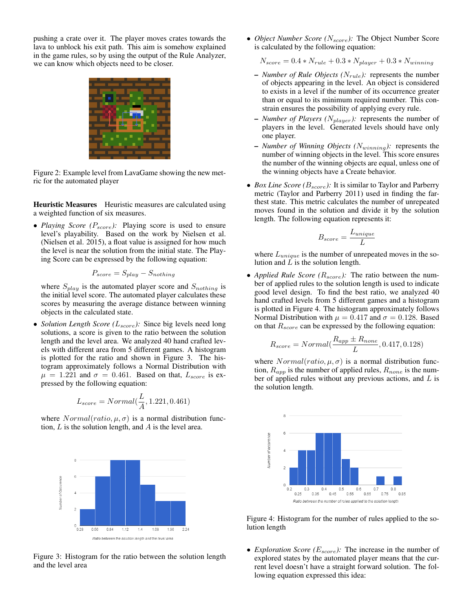pushing a crate over it. The player moves crates towards the lava to unblock his exit path. This aim is somehow explained in the game rules, so by using the output of the Rule Analyzer, we can know which objects need to be closer.



Figure 2: Example level from LavaGame showing the new metric for the automated player

<span id="page-3-0"></span>Heuristic Measures Heuristic measures are calculated using a weighted function of six measures.

• *Playing Score (P<sub>score</sub>):* Playing score is used to ensure level's playability. Based on the work by Nielsen et al. [\(Nielsen et al. 2015\)](#page-7-12), a float value is assigned for how much the level is near the solution from the initial state. The Playing Score can be expressed by the following equation:

$$
P_{score} = S_{play} - S_{nothinging}
$$

where  $S_{play}$  is the automated player score and  $S_{nothing}$  is the initial level score. The automated player calculates these scores by measuring the average distance between winning objects in the calculated state.

• *Solution Length Score (L<sub>score</sub>):* Since big levels need long solutions, a score is given to the ratio between the solution length and the level area. We analyzed 40 hand crafted levels with different area from 5 different games. A histogram is plotted for the ratio and shown in Figure [3.](#page-3-1) The histogram approximately follows a Normal Distribution with  $\mu = 1.221$  and  $\sigma = 0.461$ . Based on that,  $L_{score}$  is expressed by the following equation:

$$
L_{score} = Normal(\frac{L}{A}, 1.221, 0.461)
$$

where  $Normal(ratio, \mu, \sigma)$  is a normal distribution function,  $L$  is the solution length, and  $A$  is the level area.



<span id="page-3-1"></span>Figure 3: Histogram for the ratio between the solution length and the level area

• *Object Number Score (N<sub>score</sub>)*: The Object Number Score is calculated by the following equation:

 $N_{score} = 0.4 * N_{rule} + 0.3 * N_{player} + 0.3 * N_{winning}$ 

- *Number of Rule Objects* ( $N_{rule}$ ): represents the number of objects appearing in the level. An object is considered to exists in a level if the number of its occurrence greater than or equal to its minimum required number. This constrain ensures the possibility of applying every rule.
- *Number of Players (*Nplayer*):* represents the number of players in the level. Generated levels should have only one player.
- $-$  *Number of Winning Objects (N<sub>winning</sub>)*: represents the number of winning objects in the level. This score ensures the number of the winning objects are equal, unless one of the winning objects have a Create behavior.
- *Box Line Score* ( $B_{score}$ ): It is similar to Taylor and Parberry metric [\(Taylor and Parberry 2011\)](#page-7-4) used in finding the farthest state. This metric calculates the number of unrepeated moves found in the solution and divide it by the solution length. The following equation represents it:

$$
B_{score} = \frac{L_{unique}}{L}
$$

where  $L_{unique}$  is the number of unrepeated moves in the solution and  $\overline{L}$  is the solution length.

• *Applied Rule Score (* $R_{score}$ *)*: The ratio between the number of applied rules to the solution length is used to indicate good level design. To find the best ratio, we analyzed 40 hand crafted levels from 5 different games and a histogram is plotted in Figure [4.](#page-3-2) The histogram approximately follows Normal Distribution with  $\mu = 0.417$  and  $\sigma = 0.128$ . Based on that  $R_{score}$  can be expressed by the following equation:

$$
R_{score} = Normal(\frac{R_{app} \pm R_{none}}{L}, 0.417, 0.128)
$$

where  $Normal(ratio, \mu, \sigma)$  is a normal distribution function,  $R_{app}$  is the number of applied rules,  $R_{none}$  is the number of applied rules without any previous actions, and  $L$  is the solution length.



<span id="page-3-2"></span>Figure 4: Histogram for the number of rules applied to the solution length

• *Exploration Score* ( $E_{score}$ ): The increase in the number of explored states by the automated player means that the current level doesn't have a straight forward solution. The following equation expressed this idea: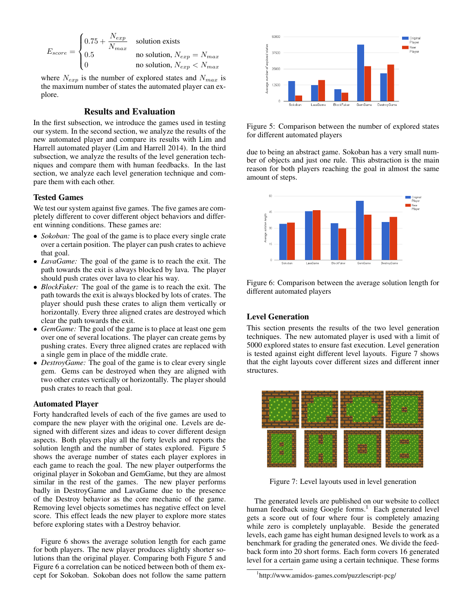$$
E_{score} = \begin{cases} 0.75 + \frac{N_{exp}}{N_{max}} & \text{solution exists} \\ 0.5 & \text{no solution, } N_{exp} = N_{max} \\ 0 & \text{no solution, } N_{exp} < N_{max} \end{cases}
$$

where  $N_{exp}$  is the number of explored states and  $N_{max}$  is the maximum number of states the automated player can explore.

### Results and Evaluation

In the first subsection, we introduce the games used in testing our system. In the second section, we analyze the results of the new automated player and compare its results with Lim and Harrell automated player [\(Lim and Harrell 2014\)](#page-7-11). In the third subsection, we analyze the results of the level generation techniques and compare them with human feedbacks. In the last section, we analyze each level generation technique and compare them with each other.

#### Tested Games

We test our system against five games. The five games are completely different to cover different object behaviors and different winning conditions. These games are:

- *Sokoban:* The goal of the game is to place every single crate over a certain position. The player can push crates to achieve that goal.
- *LavaGame:* The goal of the game is to reach the exit. The path towards the exit is always blocked by lava. The player should push crates over lava to clear his way.
- *BlockFaker:* The goal of the game is to reach the exit. The path towards the exit is always blocked by lots of crates. The player should push these crates to align them vertically or horizontally. Every three aligned crates are destroyed which clear the path towards the exit.
- *GemGame:* The goal of the game is to place at least one gem over one of several locations. The player can create gems by pushing crates. Every three aligned crates are replaced with a single gem in place of the middle crate.
- *DestroyGame:* The goal of the game is to clear every single gem. Gems can be destroyed when they are aligned with two other crates vertically or horizontally. The player should push crates to reach that goal.

#### Automated Player

Forty handcrafted levels of each of the five games are used to compare the new player with the original one. Levels are designed with different sizes and ideas to cover different design aspects. Both players play all the forty levels and reports the solution length and the number of states explored. Figure [5](#page-4-0) shows the average number of states each player explores in each game to reach the goal. The new player outperforms the original player in Sokoban and GemGame, but they are almost similar in the rest of the games. The new player performs badly in DestroyGame and LavaGame due to the presence of the Destroy behavior as the core mechanic of the game. Removing level objects sometimes has negative effect on level score. This effect leads the new player to explore more states before exploring states with a Destroy behavior.

Figure [6](#page-4-1) shows the average solution length for each game for both players. The new player produces slightly shorter solutions than the original player. Comparing both Figure [5](#page-4-0) and Figure [6](#page-4-1) a correlation can be noticed between both of them except for Sokoban. Sokoban does not follow the same pattern



<span id="page-4-0"></span>Figure 5: Comparison between the number of explored states for different automated players

due to being an abstract game. Sokoban has a very small number of objects and just one rule. This abstraction is the main reason for both players reaching the goal in almost the same amount of steps.



<span id="page-4-1"></span>Figure 6: Comparison between the average solution length for different automated players

# Level Generation

This section presents the results of the two level generation techniques. The new automated player is used with a limit of 5000 explored states to ensure fast execution. Level generation is tested against eight different level layouts. Figure [7](#page-4-2) shows that the eight layouts cover different sizes and different inner structures.



Figure 7: Level layouts used in level generation

<span id="page-4-2"></span>The generated levels are published on our website to collect human feedback using Google forms.<sup>[1](#page-4-3)</sup> Each generated level gets a score out of four where four is completely amazing while zero is completely unplayable. Beside the generated levels, each game has eight human designed levels to work as a benchmark for grading the generated ones. We divide the feedback form into 20 short forms. Each form covers 16 generated level for a certain game using a certain technique. These forms

<span id="page-4-3"></span><sup>1</sup> <http://www.amidos-games.com/puzzlescript-pcg/>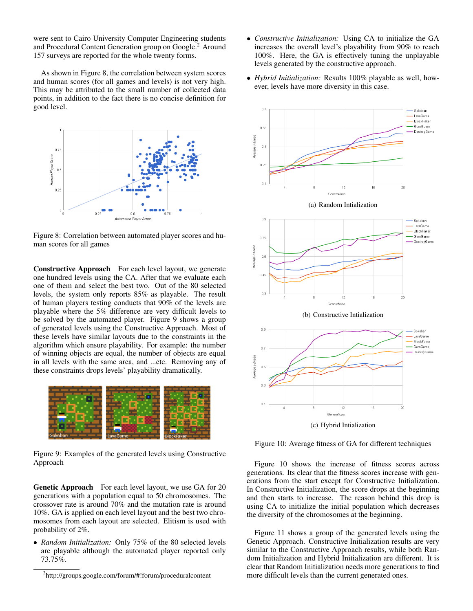were sent to Cairo University Computer Engineering students and Procedural Content Generation group on Google.<sup>[2](#page-5-0)</sup> Around 157 surveys are reported for the whole twenty forms.

As shown in Figure [8,](#page-5-1) the correlation between system scores and human scores (for all games and levels) is not very high. This may be attributed to the small number of collected data points, in addition to the fact there is no concise definition for good level.



<span id="page-5-1"></span>Figure 8: Correlation between automated player scores and human scores for all games

Constructive Approach For each level layout, we generate one hundred levels using the CA. After that we evaluate each one of them and select the best two. Out of the 80 selected levels, the system only reports 85% as playable. The result of human players testing conducts that 90% of the levels are playable where the 5% difference are very difficult levels to be solved by the automated player. Figure [9](#page-5-2) shows a group of generated levels using the Constructive Approach. Most of these levels have similar layouts due to the constraints in the algorithm which ensure playability. For example: the number of winning objects are equal, the number of objects are equal in all levels with the same area, and ...etc. Removing any of these constraints drops levels' playability dramatically.



Figure 9: Examples of the generated levels using Constructive Approach

<span id="page-5-2"></span>Genetic Approach For each level layout, we use GA for 20 generations with a population equal to 50 chromosomes. The crossover rate is around 70% and the mutation rate is around 10%. GA is applied on each level layout and the best two chromosomes from each layout are selected. Elitism is used with probability of 2%.

• *Random Initialization:* Only 75% of the 80 selected levels are playable although the automated player reported only 73.75%.

- *Constructive Initialization:* Using CA to initialize the GA increases the overall level's playability from 90% to reach 100%. Here, the GA is effectively tuning the unplayable levels generated by the constructive approach.
- *Hybrid Initialization:* Results 100% playable as well, however, levels have more diversity in this case.



<span id="page-5-3"></span>Figure 10: Average fitness of GA for different techniques

Figure [10](#page-5-3) shows the increase of fitness scores across generations. Its clear that the fitness scores increase with generations from the start except for Constructive Initialization. In Constructive Initialization, the score drops at the beginning and then starts to increase. The reason behind this drop is using CA to initialize the initial population which decreases the diversity of the chromosomes at the beginning.

Figure [11](#page-6-6) shows a group of the generated levels using the Genetic Approach. Constructive Initialization results are very similar to the Constructive Approach results, while both Random Initialization and Hybrid Initialization are different. It is clear that Random Initialization needs more generations to find more difficult levels than the current generated ones.

<span id="page-5-0"></span><sup>2</sup> <http://groups.google.com/forum/#!forum/proceduralcontent>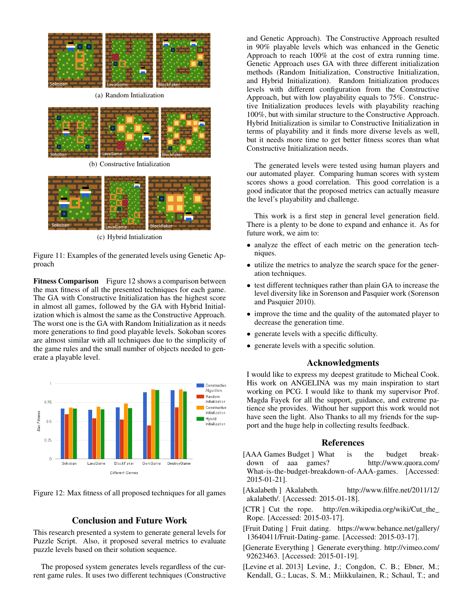

(a) Random Intialization



(b) Constructive Intialization



(c) Hybrid Intialization

<span id="page-6-6"></span>Figure 11: Examples of the generated levels using Genetic Approach

Fitness Comparison Figure [12](#page-6-7) shows a comparison between the max fitness of all the presented techniques for each game. The GA with Constructive Initialization has the highest score in almost all games, followed by the GA with Hybrid Initialization which is almost the same as the Constructive Approach. The worst one is the GA with Random Initialization as it needs more generations to find good playable levels. Sokoban scores are almost similar with all techniques due to the simplicity of the game rules and the small number of objects needed to generate a playable level.



Figure 12: Max fitness of all proposed techniques for all games

# <span id="page-6-7"></span>Conclusion and Future Work

This research presented a system to generate general levels for Puzzle Script. Also, it proposed several metrics to evaluate puzzle levels based on their solution sequence.

The proposed system generates levels regardless of the current game rules. It uses two different techniques (Constructive

and Genetic Approach). The Constructive Approach resulted in 90% playable levels which was enhanced in the Genetic Approach to reach 100% at the cost of extra running time. Genetic Approach uses GA with three different initialization methods (Random Initialization, Constructive Initialization, and Hybrid Initialization). Random Initialization produces levels with different configuration from the Constructive Approach, but with low playability equals to 75%. Constructive Initialization produces levels with playability reaching 100%, but with similar structure to the Constructive Approach. Hybrid Initialization is similar to Constructive Initialization in terms of playability and it finds more diverse levels as well, but it needs more time to get better fitness scores than what Constructive Initialization needs.

The generated levels were tested using human players and our automated player. Comparing human scores with system scores shows a good correlation. This good correlation is a good indicator that the proposed metrics can actually measure the level's playability and challenge.

This work is a first step in general level generation field. There is a plenty to be done to expand and enhance it. As for future work, we aim to:

- analyze the effect of each metric on the generation techniques.
- utilize the metrics to analyze the search space for the generation techniques.
- test different techniques rather than plain GA to increase the level diversity like in Sorenson and Pasquier work [\(Sorenson](#page-7-13) [and Pasquier 2010\)](#page-7-13).
- improve the time and the quality of the automated player to decrease the generation time.
- generate levels with a specific difficulty.
- generate levels with a specific solution.

# Acknowledgments

I would like to express my deepest gratitude to Micheal Cook. His work on ANGELINA was my main inspiration to start working on PCG. I would like to thank my supervisor Prof. Magda Fayek for all the support, guidance, and extreme patience she provides. Without her support this work would not have seen the light. Also Thanks to all my friends for the support and the huge help in collecting results feedback.

#### References

- <span id="page-6-0"></span>[AAA Games Budget ] What is the budget breakdown of aaa games? [http://www.quora.com/](http://www.quora.com/What-is-the-budget-breakdown-of-AAA-games) [What-is-the-budget-breakdown-of-AAA-games.](http://www.quora.com/What-is-the-budget-breakdown-of-AAA-games) [Accessed: 2015-01-21].
- <span id="page-6-1"></span>[Akalabeth ] Akalabeth. [http://www.filfre.net/2011/12/](http://www.filfre.net/2011/12/akalabeth/) [akalabeth/.](http://www.filfre.net/2011/12/akalabeth/) [Accessed: 2015-01-18].
- <span id="page-6-5"></span>[CTR ] Cut the rope. [http://en.wikipedia.org/wiki/Cut\\_the\\_](http://en.wikipedia.org/wiki/Cut_the_Rope) [Rope.](http://en.wikipedia.org/wiki/Cut_the_Rope) [Accessed: 2015-03-17].
- <span id="page-6-4"></span>[Fruit Dating ] Fruit dating. [https://www.behance.net/gallery/](https://www.behance.net/gallery/13640411/Fruit-Dating-game) [13640411/Fruit-Dating-game.](https://www.behance.net/gallery/13640411/Fruit-Dating-game) [Accessed: 2015-03-17].
- <span id="page-6-2"></span>[Generate Everything ] Generate everything. [http://vimeo.com/](http://vimeo.com/92623463) [92623463.](http://vimeo.com/92623463) [Accessed: 2015-01-19].
- <span id="page-6-3"></span>[Levine et al. 2013] Levine, J.; Congdon, C. B.; Ebner, M.; Kendall, G.; Lucas, S. M.; Miikkulainen, R.; Schaul, T.; and